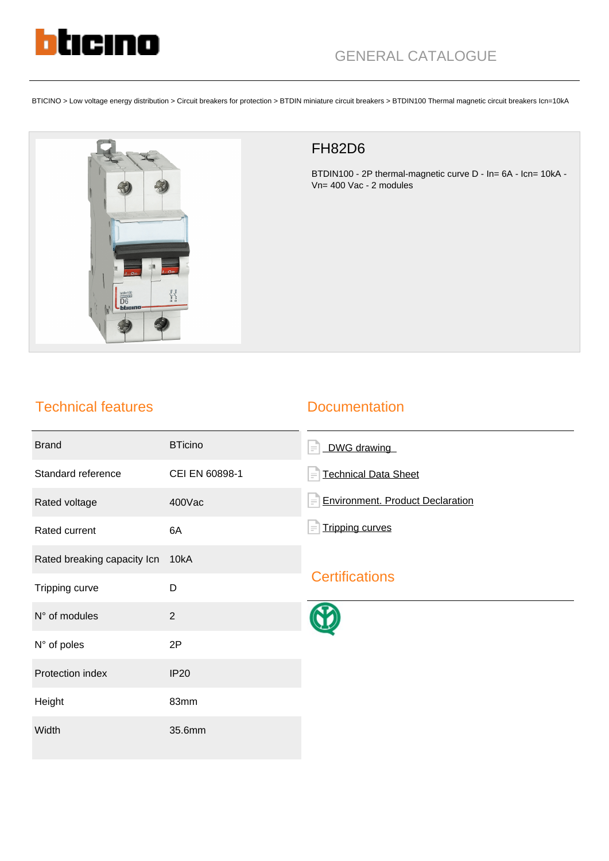

BTICINO > Low voltage energy distribution > Circuit breakers for protection > BTDIN miniature circuit breakers > BTDIN100 Thermal magnetic circuit breakers Icn=10kA



## FH82D6

BTDIN100 - 2P thermal-magnetic curve D - In= 6A - Icn= 10kA - Vn= 400 Vac - 2 modules

## Technical features

### **Documentation**

| <b>Brand</b>                | <b>BTicino</b> | DWG drawing<br>$\equiv$                             |
|-----------------------------|----------------|-----------------------------------------------------|
| Standard reference          | CEI EN 60898-1 | <b>Technical Data Sheet</b><br>$\equiv$             |
| Rated voltage               | 400Vac         | <b>Environment. Product Declaration</b><br>$\equiv$ |
| Rated current               | 6A             | <b>Tripping curves</b><br>$\equiv$                  |
| Rated breaking capacity Icn | 10kA           |                                                     |
| Tripping curve              | D              | <b>Certifications</b>                               |
| N° of modules               | $\overline{2}$ |                                                     |
| N° of poles                 | 2P             |                                                     |
| Protection index            | <b>IP20</b>    |                                                     |
| Height                      | 83mm           |                                                     |
| Width                       | 35.6mm         |                                                     |